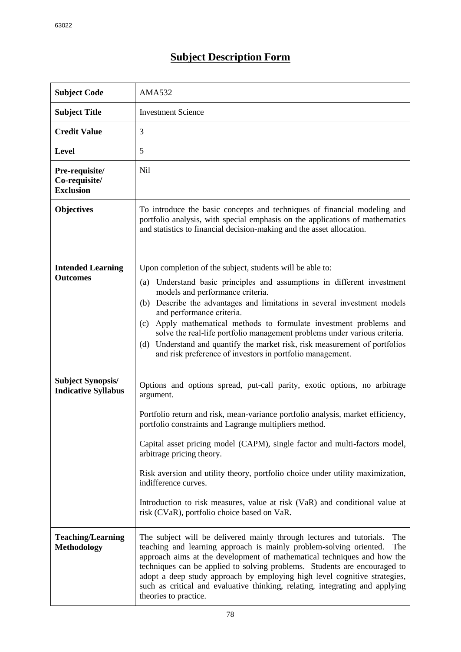## **Subject Description Form**

| <b>Subject Code</b>                                    | AMA532                                                                                                                                                                                                                                                                                                                                                                                                                                                                                                                                                                                        |
|--------------------------------------------------------|-----------------------------------------------------------------------------------------------------------------------------------------------------------------------------------------------------------------------------------------------------------------------------------------------------------------------------------------------------------------------------------------------------------------------------------------------------------------------------------------------------------------------------------------------------------------------------------------------|
| <b>Subject Title</b>                                   | <b>Investment Science</b>                                                                                                                                                                                                                                                                                                                                                                                                                                                                                                                                                                     |
| <b>Credit Value</b>                                    | 3                                                                                                                                                                                                                                                                                                                                                                                                                                                                                                                                                                                             |
| <b>Level</b>                                           | 5                                                                                                                                                                                                                                                                                                                                                                                                                                                                                                                                                                                             |
| Pre-requisite/<br>Co-requisite/<br><b>Exclusion</b>    | Nil                                                                                                                                                                                                                                                                                                                                                                                                                                                                                                                                                                                           |
| <b>Objectives</b>                                      | To introduce the basic concepts and techniques of financial modeling and<br>portfolio analysis, with special emphasis on the applications of mathematics<br>and statistics to financial decision-making and the asset allocation.                                                                                                                                                                                                                                                                                                                                                             |
| <b>Intended Learning</b><br><b>Outcomes</b>            | Upon completion of the subject, students will be able to:<br>Understand basic principles and assumptions in different investment<br>(a)<br>models and performance criteria.<br>Describe the advantages and limitations in several investment models<br>(b)<br>and performance criteria.<br>Apply mathematical methods to formulate investment problems and<br>(c)<br>solve the real-life portfolio management problems under various criteria.<br>Understand and quantify the market risk, risk measurement of portfolios<br>(d)<br>and risk preference of investors in portfolio management. |
| <b>Subject Synopsis/</b><br><b>Indicative Syllabus</b> | Options and options spread, put-call parity, exotic options, no arbitrage<br>argument.<br>Portfolio return and risk, mean-variance portfolio analysis, market efficiency,<br>portfolio constraints and Lagrange multipliers method.<br>Capital asset pricing model (CAPM), single factor and multi-factors model,<br>arbitrage pricing theory.<br>Risk aversion and utility theory, portfolio choice under utility maximization,<br>indifference curves.<br>Introduction to risk measures, value at risk (VaR) and conditional value at<br>risk (CVaR), portfolio choice based on VaR.        |
| <b>Teaching/Learning</b><br><b>Methodology</b>         | The subject will be delivered mainly through lectures and tutorials.<br>The<br>teaching and learning approach is mainly problem-solving oriented.<br>The<br>approach aims at the development of mathematical techniques and how the<br>techniques can be applied to solving problems. Students are encouraged to<br>adopt a deep study approach by employing high level cognitive strategies,<br>such as critical and evaluative thinking, relating, integrating and applying<br>theories to practice.                                                                                        |